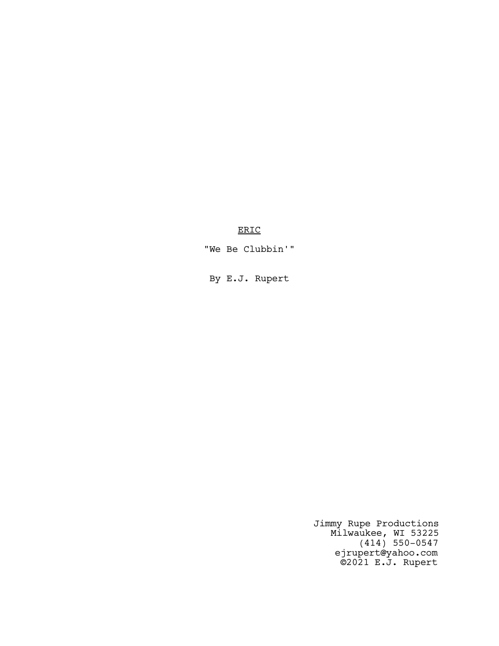ERIC

"We Be Clubbin'"

By E.J. Rupert

Jimmy Rupe Productions Milwaukee, WI 53225 (414) 550-0547 ejrupert@yahoo.com ©2021 E.J. Rupert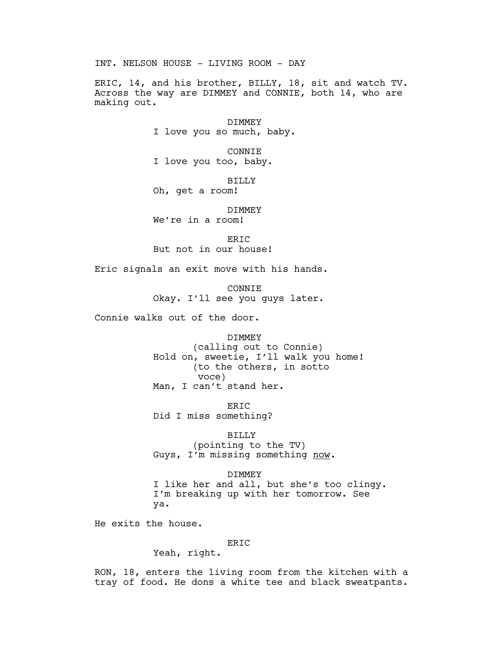INT. NELSON HOUSE - LIVING ROOM - DAY

ERIC, 14, and his brother, BILLY, 18, sit and watch TV. Across the way are DIMMEY and CONNIE, both 14, who are making out.

> DIMMEY I love you so much, baby.

CONNIE I love you too, baby.

BILLY Oh, get a room!

DIMMEY

We're in a room!

ERIC But not in our house!

Eric signals an exit move with his hands.

CONNIE Okay. I'll see you guys later.

Connie walks out of the door.

# DIMMEY

(calling out to Connie) Hold on, sweetie, I'll walk you home! (to the others, in sotto voce) Man, I can't stand her.

ERIC Did I miss something?

# BILLY

(pointing to the TV) Guys, I'm missing something now.

## DIMMEY

I like her and all, but she's too clingy. I'm breaking up with her tomorrow. See ya.

He exits the house.

# ERIC

Yeah, right.

RON, 18, enters the living room from the kitchen with a tray of food. He dons a white tee and black sweatpants.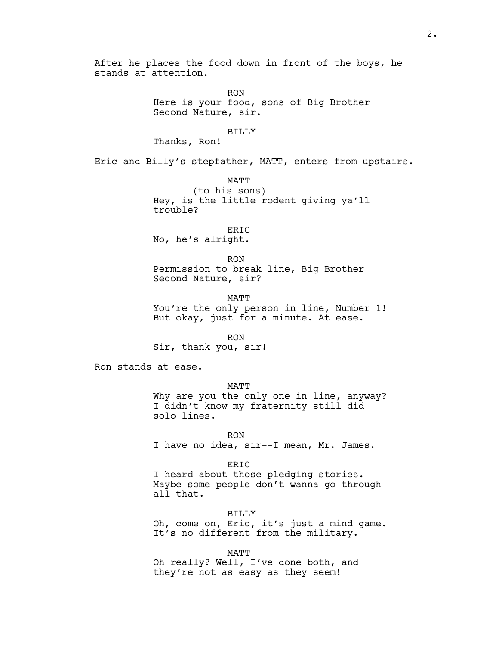After he places the food down in front of the boys, he stands at attention.

> RON Here is your food, sons of Big Brother Second Nature, sir.

#### BILLY

Thanks, Ron!

Eric and Billy's stepfather, MATT, enters from upstairs.

MATT (to his sons) Hey, is the little rodent giving ya'll trouble?

ERIC No, he's alright.

RON Permission to break line, Big Brother Second Nature, sir?

**MATT** You're the only person in line, Number 1! But okay, just for a minute. At ease.

RON Sir, thank you, sir!

Ron stands at ease.

MATT

Why are you the only one in line, anyway? I didn't know my fraternity still did solo lines.

RON I have no idea, sir--I mean, Mr. James.

ERIC

I heard about those pledging stories. Maybe some people don't wanna go through all that.

BILLY Oh, come on, Eric, it's just a mind game. It's no different from the military.

MATT

Oh really? Well, I've done both, and they're not as easy as they seem!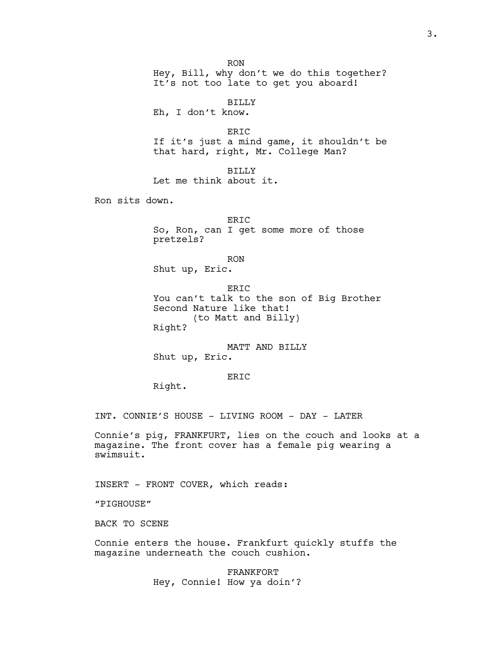RON Hey, Bill, why don't we do this together? It's not too late to get you aboard!

BILLY Eh, I don't know.

ERIC If it's just a mind game, it shouldn't be that hard, right, Mr. College Man?

BILLY Let me think about it.

Ron sits down.

ERIC So, Ron, can I get some more of those pretzels?

RON

Shut up, Eric.

ERIC You can't talk to the son of Big Brother Second Nature like that! (to Matt and Billy) Right?

MATT AND BILLY Shut up, Eric.

ERIC

Right.

INT. CONNIE'S HOUSE - LIVING ROOM - DAY - LATER

Connie's pig, FRANKFURT, lies on the couch and looks at a magazine. The front cover has a female pig wearing a swimsuit.

INSERT - FRONT COVER, which reads:

"PIGHOUSE"

BACK TO SCENE

Connie enters the house. Frankfurt quickly stuffs the magazine underneath the couch cushion.

> FRANKFORT Hey, Connie! How ya doin'?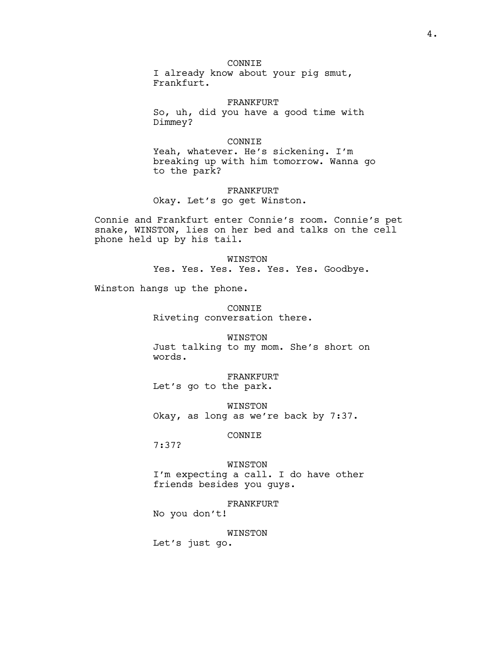# CONNIE

I already know about your pig smut, Frankfurt.

#### FRANKFURT

So, uh, did you have a good time with Dimmey?

## CONNIE

Yeah, whatever. He's sickening. I'm breaking up with him tomorrow. Wanna go to the park?

# FRANKFURT

Okay. Let's go get Winston.

Connie and Frankfurt enter Connie's room. Connie's pet snake, WINSTON, lies on her bed and talks on the cell phone held up by his tail.

> WINSTON Yes. Yes. Yes. Yes. Yes. Yes. Goodbye.

Winston hangs up the phone.

CONNIE Riveting conversation there.

WINSTON Just talking to my mom. She's short on words.

FRANKFURT Let's go to the park.

WINSTON Okay, as long as we're back by 7:37.

# CONNIE

7:37?

#### WINSTON

I'm expecting a call. I do have other friends besides you guys.

FRANKFURT

No you don't!

#### WINSTON

Let's just go.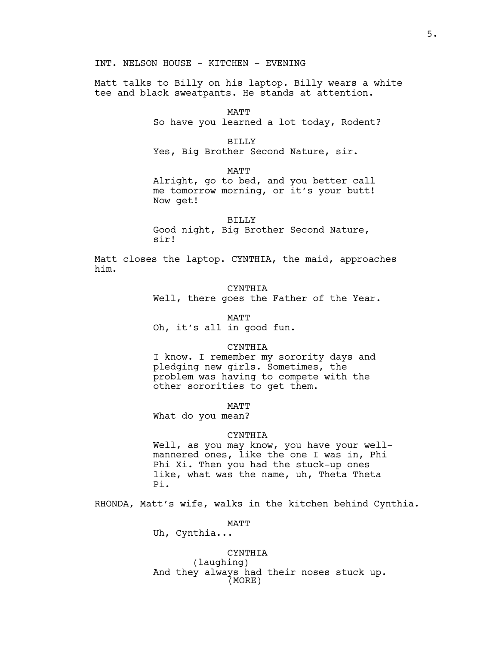INT. NELSON HOUSE - KITCHEN - EVENING

Matt talks to Billy on his laptop. Billy wears a white tee and black sweatpants. He stands at attention.

MATT

So have you learned a lot today, Rodent?

BILLY

Yes, Big Brother Second Nature, sir.

MATT

Alright, go to bed, and you better call me tomorrow morning, or it's your butt! Now get!

BILLY

Good night, Big Brother Second Nature, sir!

Matt closes the laptop. CYNTHIA, the maid, approaches him.

CYNTHIA

Well, there goes the Father of the Year.

MATT

Oh, it's all in good fun.

CYNTHIA

I know. I remember my sorority days and pledging new girls. Sometimes, the problem was having to compete with the other sororities to get them.

MATT

What do you mean?

### CYNTHIA

Well, as you may know, you have your wellmannered ones, like the one I was in, Phi Phi Xi. Then you had the stuck-up ones like, what was the name, uh, Theta Theta Pi.

RHONDA, Matt's wife, walks in the kitchen behind Cynthia.

MATT

Uh, Cynthia...

CYNTHIA (laughing) And they always had their noses stuck up. (MORE)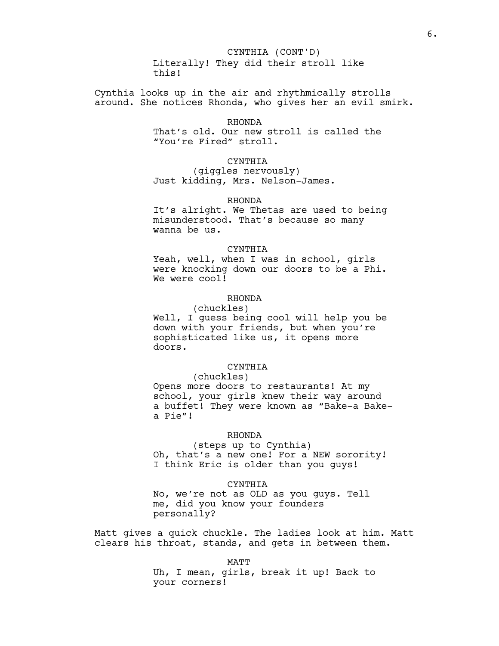Cynthia looks up in the air and rhythmically strolls around. She notices Rhonda, who gives her an evil smirk.

# RHONDA

That's old. Our new stroll is called the "You're Fired" stroll.

### CYNTHIA

(giggles nervously) Just kidding, Mrs. Nelson-James.

### RHONDA

It's alright. We Thetas are used to being misunderstood. That's because so many wanna be us.

#### CYNTHIA

Yeah, well, when I was in school, girls were knocking down our doors to be a Phi. We were cool!

# RHONDA

(chuckles) Well, I quess being cool will help you be down with your friends, but when you're sophisticated like us, it opens more doors.

# CYNTHIA

(chuckles) Opens more doors to restaurants! At my school, your girls knew their way around a buffet! They were known as "Bake-a Bakea Pie"!

# RHONDA

(steps up to Cynthia) Oh, that's a new one! For a NEW sorority! I think Eric is older than you guys!

### CYNTHIA

No, we're not as OLD as you guys. Tell me, did you know your founders personally?

Matt gives a quick chuckle. The ladies look at him. Matt clears his throat, stands, and gets in between them.

MATT

Uh, I mean, girls, break it up! Back to your corners!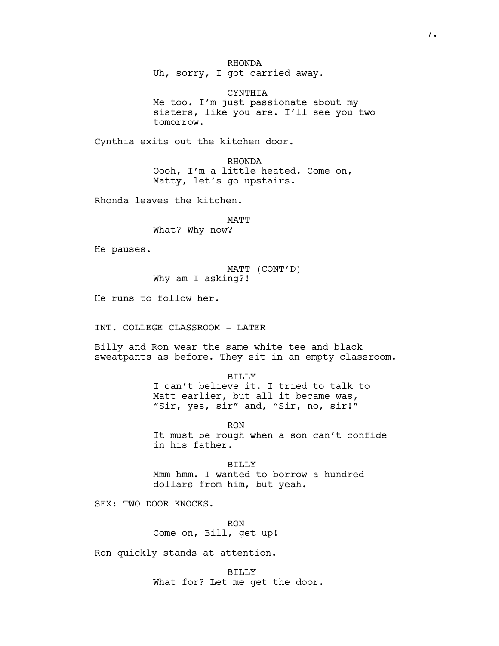RHONDA

Uh, sorry, I got carried away.

CYNTHIA Me too. I'm just passionate about my sisters, like you are. I'll see you two tomorrow.

Cynthia exits out the kitchen door.

RHONDA Oooh, I'm a little heated. Come on, Matty, let's go upstairs.

Rhonda leaves the kitchen.

MATT What? Why now?

He pauses.

MATT (CONT'D) Why am I asking?!

He runs to follow her.

INT. COLLEGE CLASSROOM - LATER

Billy and Ron wear the same white tee and black sweatpants as before. They sit in an empty classroom.

BILLY

I can't believe it. I tried to talk to Matt earlier, but all it became was, "Sir, yes, sir" and, "Sir, no, sir!"

RON It must be rough when a son can't confide in his father.

BILLY Mmm hmm. I wanted to borrow a hundred dollars from him, but yeah.

SFX: TWO DOOR KNOCKS.

RON Come on, Bill, get up!

Ron quickly stands at attention.

BILLY What for? Let me get the door.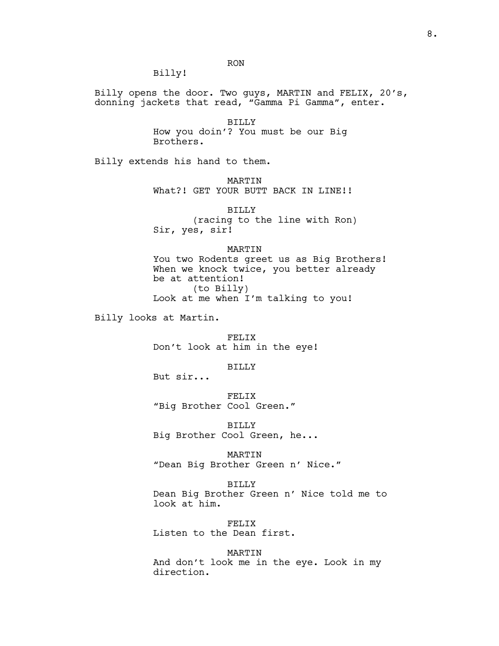Billy!

Billy opens the door. Two guys, MARTIN and FELIX, 20's, donning jackets that read, "Gamma Pi Gamma", enter.

RON

BILLY How you doin'? You must be our Big Brothers.

Billy extends his hand to them.

MARTIN What?! GET YOUR BUTT BACK IN LINE!!

BILLY (racing to the line with Ron) Sir, yes, sir!

#### MARTIN

You two Rodents greet us as Big Brothers! When we knock twice, you better already be at attention! (to Billy) Look at me when I'm talking to you!

Billy looks at Martin.

FELIX Don't look at him in the eye!

BILLY

But sir...

FELIX "Big Brother Cool Green."

BILLY Big Brother Cool Green, he...

MARTIN

"Dean Big Brother Green n' Nice."

### BILLY

Dean Big Brother Green n' Nice told me to look at him.

FELIX Listen to the Dean first.

MARTIN

And don't look me in the eye. Look in my direction.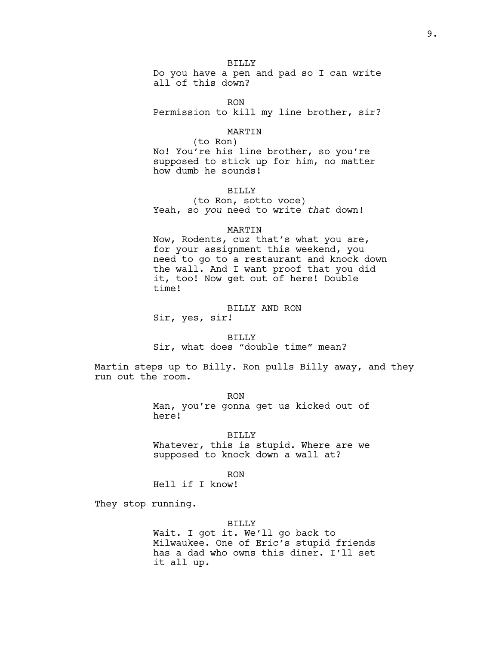BILLY

Do you have a pen and pad so I can write all of this down?

RON

Permission to kill my line brother, sir?

### MARTIN

(to Ron) No! You're his line brother, so you're supposed to stick up for him, no matter how dumb he sounds!

# BILLY

(to Ron, sotto voce) Yeah, so you need to write that down!

### MARTIN

Now, Rodents, cuz that's what you are, for your assignment this weekend, you need to go to a restaurant and knock down the wall. And I want proof that you did it, too! Now get out of here! Double time!

#### BILLY AND RON

Sir, yes, sir!

BILLY Sir, what does "double time" mean?

Martin steps up to Billy. Ron pulls Billy away, and they run out the room.

> RON Man, you're gonna get us kicked out of here!

### BILLY

Whatever, this is stupid. Where are we supposed to knock down a wall at?

RON

Hell if I know!

They stop running.

#### BILLY

Wait. I got it. We'll go back to Milwaukee. One of Eric's stupid friends has a dad who owns this diner. I'll set it all up.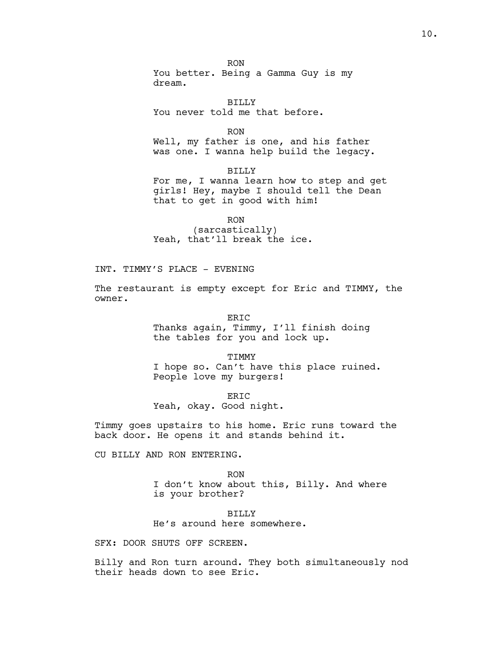RON You better. Being a Gamma Guy is my dream.

BILLY You never told me that before.

RON

Well, my father is one, and his father was one. I wanna help build the legacy.

BILLY

For me, I wanna learn how to step and get girls! Hey, maybe I should tell the Dean that to get in good with him!

RON

(sarcastically) Yeah, that'll break the ice.

INT. TIMMY'S PLACE - EVENING

The restaurant is empty except for Eric and TIMMY, the owner.

> ERIC Thanks again, Timmy, I'll finish doing the tables for you and lock up.

TIMMY I hope so. Can't have this place ruined. People love my burgers!

ERIC Yeah, okay. Good night.

Timmy goes upstairs to his home. Eric runs toward the back door. He opens it and stands behind it.

CU BILLY AND RON ENTERING.

RON I don't know about this, Billy. And where is your brother?

BILLY He's around here somewhere.

SFX: DOOR SHUTS OFF SCREEN.

Billy and Ron turn around. They both simultaneously nod their heads down to see Eric.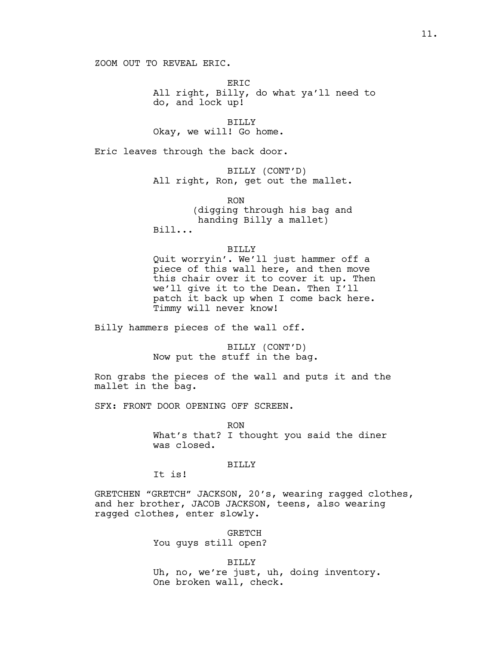ZOOM OUT TO REVEAL ERIC.

ER<sub>TC</sub> All right, Billy, do what ya'll need to do, and lock up!

BILLY Okay, we will! Go home.

Eric leaves through the back door.

BILLY (CONT'D) All right, Ron, get out the mallet.

RON (digging through his bag and handing Billy a mallet) Bill...

### BILLY

Quit worryin'. We'll just hammer off a piece of this wall here, and then move this chair over it to cover it up. Then we'll give it to the Dean. Then I'll patch it back up when I come back here. Timmy will never know!

Billy hammers pieces of the wall off.

BILLY (CONT'D) Now put the stuff in the bag.

Ron grabs the pieces of the wall and puts it and the mallet in the bag.

SFX: FRONT DOOR OPENING OFF SCREEN.

RON What's that? I thought you said the diner was closed.

#### BILLY

It is!

GRETCHEN "GRETCH" JACKSON, 20's, wearing ragged clothes, and her brother, JACOB JACKSON, teens, also wearing ragged clothes, enter slowly.

> GRETCH You guys still open?

BILLY Uh, no, we're just, uh, doing inventory. One broken wall, check.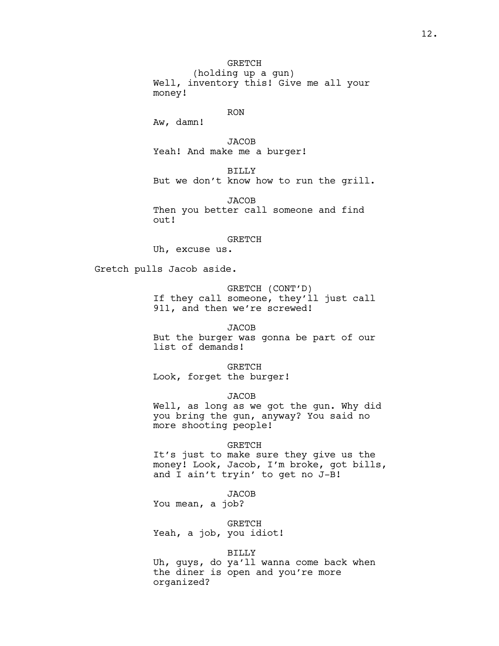(holding up a gun) Well, inventory this! Give me all your money!

# RON

Aw, damn!

**JACOB** Yeah! And make me a burger!

BILLY But we don't know how to run the grill.

JACOB Then you better call someone and find out!

#### GRETCH

Uh, excuse us.

Gretch pulls Jacob aside.

GRETCH (CONT'D) If they call someone, they'll just call 911, and then we're screwed!

# JACOB

But the burger was gonna be part of our list of demands!

GRETCH Look, forget the burger!

# JACOB

Well, as long as we got the gun. Why did you bring the gun, anyway? You said no more shooting people!

#### GRETCH

It's just to make sure they give us the money! Look, Jacob, I'm broke, got bills, and I ain't tryin' to get no J-B!

# **JACOB**

You mean, a job?

GRETCH

Yeah, a job, you idiot!

### BILLY

Uh, guys, do ya'll wanna come back when the diner is open and you're more organized?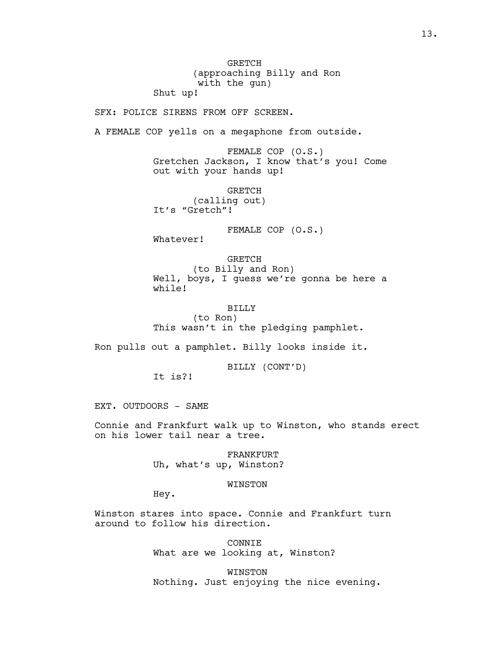GRETCH (approaching Billy and Ron with the gun)

Shut up!

SFX: POLICE SIRENS FROM OFF SCREEN.

A FEMALE COP yells on a megaphone from outside.

FEMALE COP (O.S.) Gretchen Jackson, I know that's you! Come out with your hands up!

GRETCH (calling out) It's "Gretch"!

FEMALE COP (O.S.)

Whatever!

GRETCH (to Billy and Ron) Well, boys, I guess we're gonna be here a while!

BILLY (to Ron) This wasn't in the pledging pamphlet.

Ron pulls out a pamphlet. Billy looks inside it.

BILLY (CONT'D)

It is?!

EXT. OUTDOORS - SAME

Connie and Frankfurt walk up to Winston, who stands erect on his lower tail near a tree.

> FRANKFURT Uh, what's up, Winston?

# WINSTON

Hey.

Winston stares into space. Connie and Frankfurt turn around to follow his direction.

> CONNIE What are we looking at, Winston?

WINSTON Nothing. Just enjoying the nice evening.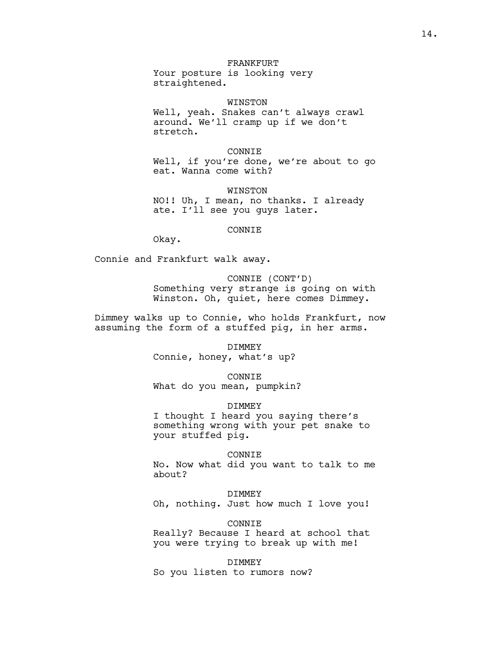# FRANKFURT

Your posture is looking very straightened.

WINSTON

Well, yeah. Snakes can't always crawl around. We'll cramp up if we don't stretch.

#### CONNIE

Well, if you're done, we're about to go eat. Wanna come with?

WINSTON NO!! Uh, I mean, no thanks. I already ate. I'll see you guys later.

### CONNIE

Okay.

Connie and Frankfurt walk away.

CONNIE (CONT'D) Something very strange is going on with Winston. Oh, quiet, here comes Dimmey.

Dimmey walks up to Connie, who holds Frankfurt, now assuming the form of a stuffed pig, in her arms.

> DIMMEY Connie, honey, what's up?

CONNIE What do you mean, pumpkin?

DIMMEY

I thought I heard you saying there's something wrong with your pet snake to your stuffed pig.

CONNIE

No. Now what did you want to talk to me about?

DIMMEY

Oh, nothing. Just how much I love you!

CONNIE

Really? Because I heard at school that you were trying to break up with me!

DIMMEY So you listen to rumors now?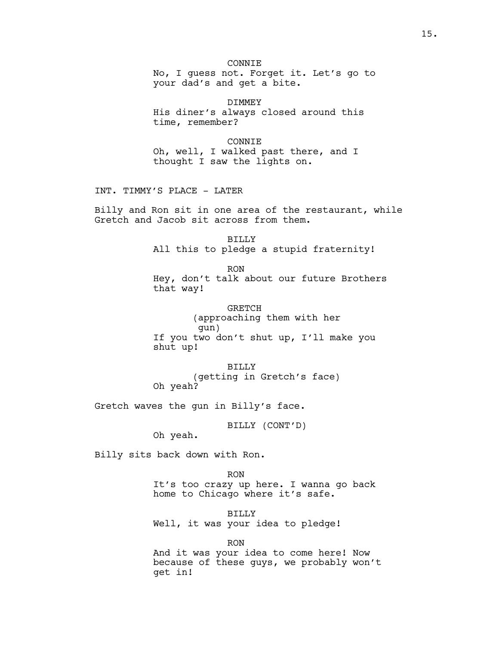**CONNIE** No, I guess not. Forget it. Let's go to your dad's and get a bite.

DIMMEY His diner's always closed around this time, remember?

CONNIE Oh, well, I walked past there, and I thought I saw the lights on.

INT. TIMMY'S PLACE - LATER

Billy and Ron sit in one area of the restaurant, while Gretch and Jacob sit across from them.

> BILLY All this to pledge a stupid fraternity!

RON Hey, don't talk about our future Brothers that way!

GRETCH (approaching them with her gun) If you two don't shut up, I'll make you shut up!

BILLY (getting in Gretch's face) Oh yeah?

Gretch waves the gun in Billy's face.

BILLY (CONT'D)

Oh yeah.

Billy sits back down with Ron.

RON It's too crazy up here. I wanna go back home to Chicago where it's safe.

BILLY Well, it was your idea to pledge!

RON

And it was your idea to come here! Now because of these guys, we probably won't get in!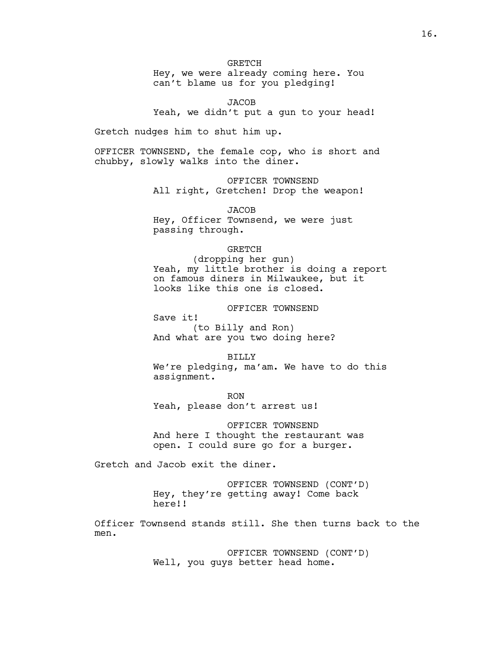**GRETCH** Hey, we were already coming here. You can't blame us for you pledging!

**JACOB** Yeah, we didn't put a gun to your head!

Gretch nudges him to shut him up.

OFFICER TOWNSEND, the female cop, who is short and chubby, slowly walks into the diner.

> OFFICER TOWNSEND All right, Gretchen! Drop the weapon!

**JACOB** Hey, Officer Townsend, we were just passing through.

### GRETCH

(dropping her gun) Yeah, my little brother is doing a report on famous diners in Milwaukee, but it looks like this one is closed.

### OFFICER TOWNSEND

Save it! (to Billy and Ron) And what are you two doing here?

#### BILLY

We're pledging, ma'am. We have to do this assignment.

RON Yeah, please don't arrest us!

OFFICER TOWNSEND And here I thought the restaurant was open. I could sure go for a burger.

Gretch and Jacob exit the diner.

OFFICER TOWNSEND (CONT'D) Hey, they're getting away! Come back here!!

Officer Townsend stands still. She then turns back to the men.

> OFFICER TOWNSEND (CONT'D) Well, you guys better head home.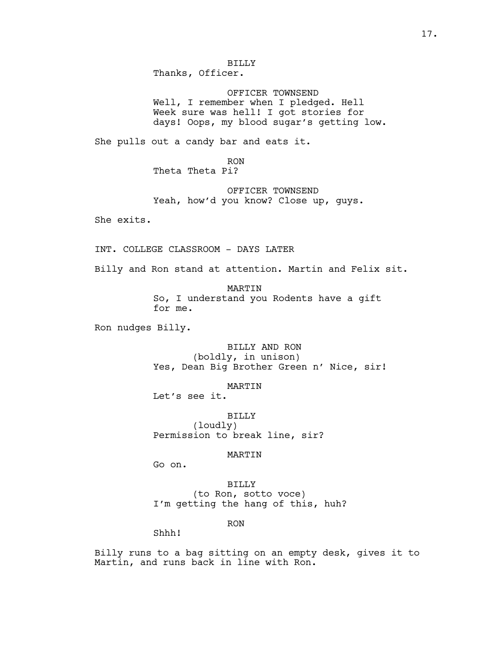BILLY Thanks, Officer.

OFFICER TOWNSEND Well, I remember when I pledged. Hell Week sure was hell! I got stories for days! Oops, my blood sugar's getting low.

She pulls out a candy bar and eats it.

RON Theta Theta Pi?

OFFICER TOWNSEND Yeah, how'd you know? Close up, guys.

She exits.

INT. COLLEGE CLASSROOM - DAYS LATER

Billy and Ron stand at attention. Martin and Felix sit.

MARTIN So, I understand you Rodents have a gift for me.

Ron nudges Billy.

BILLY AND RON (boldly, in unison) Yes, Dean Big Brother Green n' Nice, sir!

MARTIN

Let's see it.

BILLY (loudly) Permission to break line, sir?

#### MARTIN

Go on.

BILLY (to Ron, sotto voce) I'm getting the hang of this, huh?

RON

Shhh!

Billy runs to a bag sitting on an empty desk, gives it to Martin, and runs back in line with Ron.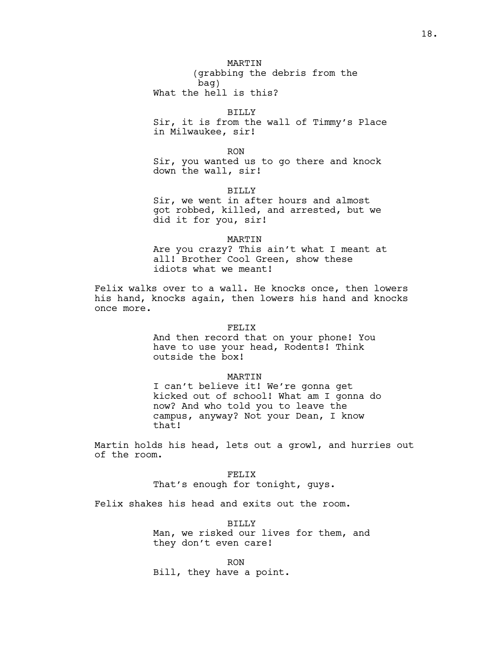MARTIN (grabbing the debris from the bag)

What the hell is this?

# BILLY

Sir, it is from the wall of Timmy's Place in Milwaukee, sir!

RON

Sir, you wanted us to go there and knock down the wall, sir!

BILLY

Sir, we went in after hours and almost got robbed, killed, and arrested, but we did it for you, sir!

#### MARTIN

Are you crazy? This ain't what I meant at all! Brother Cool Green, show these idiots what we meant!

Felix walks over to a wall. He knocks once, then lowers his hand, knocks again, then lowers his hand and knocks once more.

# FELIX

And then record that on your phone! You have to use your head, Rodents! Think outside the box!

#### MARTIN

I can't believe it! We're gonna get kicked out of school! What am I gonna do now? And who told you to leave the campus, anyway? Not your Dean, I know that!

Martin holds his head, lets out a growl, and hurries out of the room.

> FELIX That's enough for tonight, guys.

Felix shakes his head and exits out the room.

BILLY Man, we risked our lives for them, and they don't even care!

RON Bill, they have a point.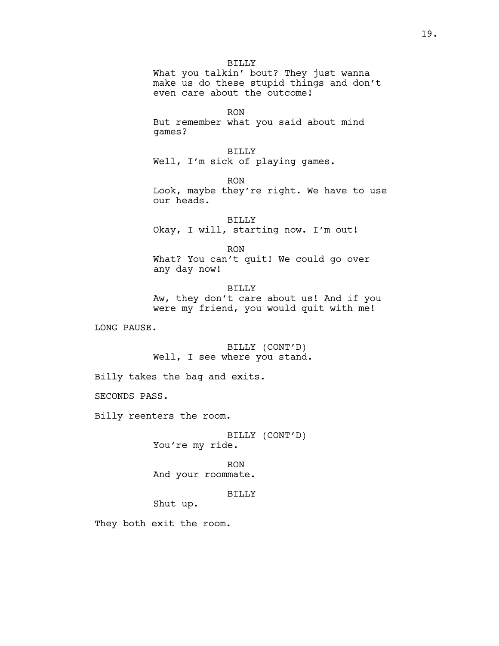BILLY What you talkin' bout? They just wanna make us do these stupid things and don't even care about the outcome!

RON But remember what you said about mind games?

BILLY Well, I'm sick of playing games.

RON Look, maybe they're right. We have to use our heads.

BILLY Okay, I will, starting now. I'm out!

RON What? You can't quit! We could go over any day now!

BILLY Aw, they don't care about us! And if you were my friend, you would quit with me!

LONG PAUSE.

BILLY (CONT'D) Well, I see where you stand.

Billy takes the bag and exits.

SECONDS PASS.

Billy reenters the room.

BILLY (CONT'D) You're my ride.

RON And your roommate.

BILLY

Shut up.

They both exit the room.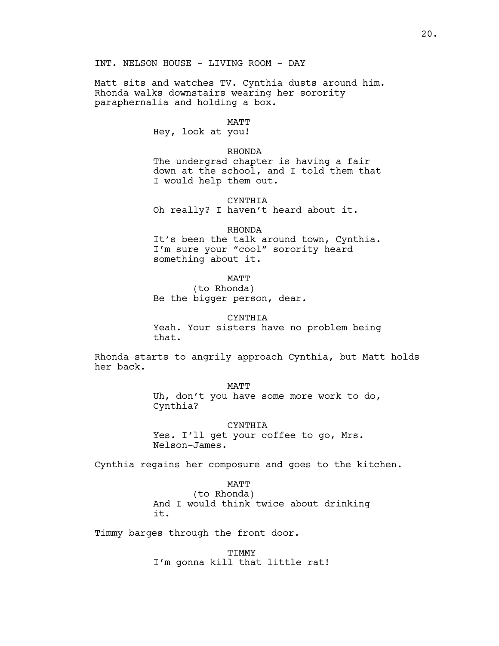INT. NELSON HOUSE - LIVING ROOM - DAY

Matt sits and watches TV. Cynthia dusts around him. Rhonda walks downstairs wearing her sorority paraphernalia and holding a box.

### MATT

Hey, look at you!

### RHONDA

The undergrad chapter is having a fair down at the school, and I told them that I would help them out.

#### CYNTHIA

Oh really? I haven't heard about it.

# RHONDA

It's been the talk around town, Cynthia. I'm sure your "cool" sorority heard something about it.

MATT

(to Rhonda) Be the bigger person, dear.

CYNTHIA Yeah. Your sisters have no problem being that.

Rhonda starts to angrily approach Cynthia, but Matt holds her back.

**MATT** 

Uh, don't you have some more work to do, Cynthia?

#### CYNTHIA

Yes. I'll get your coffee to go, Mrs. Nelson-James.

Cynthia regains her composure and goes to the kitchen.

# MATT

(to Rhonda) And I would think twice about drinking it.

Timmy barges through the front door.

TIMMY I'm gonna kill that little rat!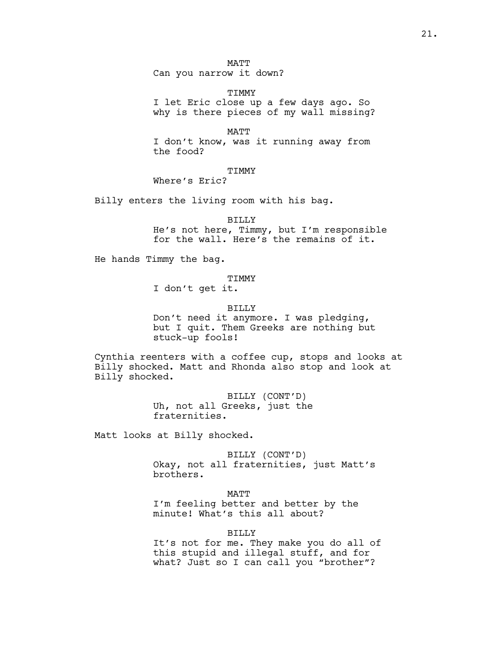MATT Can you narrow it down?

**TTMMY** I let Eric close up a few days ago. So why is there pieces of my wall missing?

MATT I don't know, was it running away from the food?

# TIMMY

Where's Eric?

Billy enters the living room with his bag.

BILLY

He's not here, Timmy, but I'm responsible for the wall. Here's the remains of it.

He hands Timmy the bag.

**TTMMY** 

I don't get it.

BILLY

Don't need it anymore. I was pledging, but I quit. Them Greeks are nothing but stuck-up fools!

Cynthia reenters with a coffee cup, stops and looks at Billy shocked. Matt and Rhonda also stop and look at Billy shocked.

> BILLY (CONT'D) Uh, not all Greeks, just the fraternities.

Matt looks at Billy shocked.

BILLY (CONT'D) Okay, not all fraternities, just Matt's brothers.

MATT

I'm feeling better and better by the minute! What's this all about?

BILLY

It's not for me. They make you do all of this stupid and illegal stuff, and for what? Just so I can call you "brother"?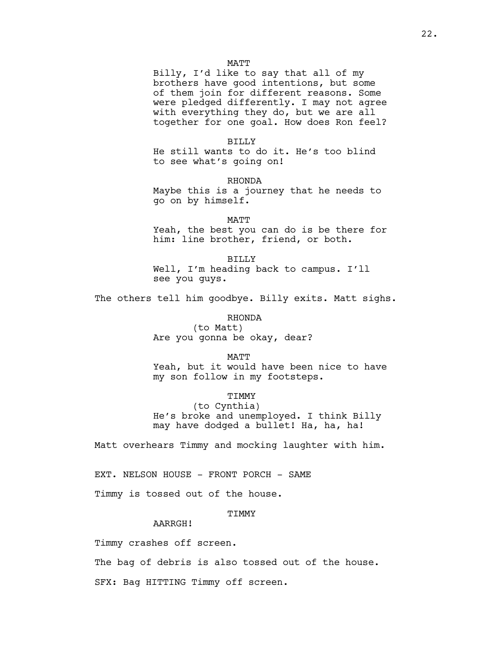### **MATT**

Billy, I'd like to say that all of my brothers have good intentions, but some of them join for different reasons. Some were pledged differently. I may not agree with everything they do, but we are all together for one goal. How does Ron feel?

### BILLY

He still wants to do it. He's too blind to see what's going on!

RHONDA

Maybe this is a journey that he needs to go on by himself.

MATT Yeah, the best you can do is be there for him: line brother, friend, or both.

BILLY Well, I'm heading back to campus. I'll see you guys.

The others tell him goodbye. Billy exits. Matt sighs.

#### RHONDA

(to Matt) Are you gonna be okay, dear?

MATT

Yeah, but it would have been nice to have my son follow in my footsteps.

TIMMY

(to Cynthia) He's broke and unemployed. I think Billy may have dodged a bullet! Ha, ha, ha!

Matt overhears Timmy and mocking laughter with him.

EXT. NELSON HOUSE - FRONT PORCH - SAME

Timmy is tossed out of the house.

# **TIMMY**

AARRGH!

Timmy crashes off screen.

The bag of debris is also tossed out of the house.

SFX: Bag HITTING Timmy off screen.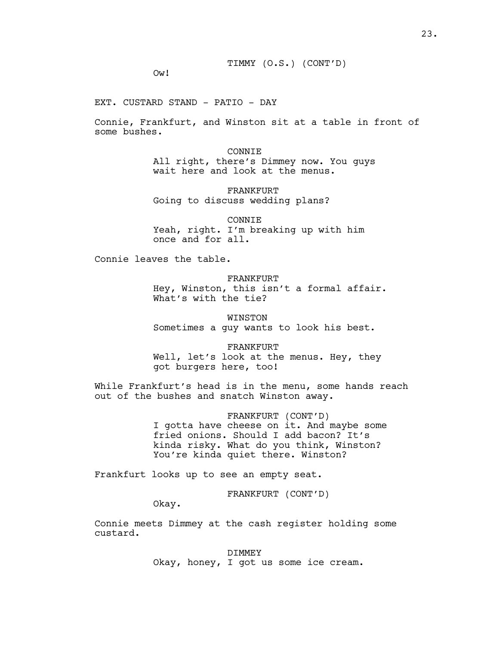Ow!

EXT. CUSTARD STAND - PATIO - DAY

Connie, Frankfurt, and Winston sit at a table in front of some bushes.

> CONNIE All right, there's Dimmey now. You guys wait here and look at the menus.

FRANKFURT Going to discuss wedding plans?

CONNIE Yeah, right. I'm breaking up with him once and for all.

Connie leaves the table.

FRANKFURT Hey, Winston, this isn't a formal affair. What's with the tie?

WINSTON Sometimes a guy wants to look his best.

FRANKFURT Well, let's look at the menus. Hey, they got burgers here, too!

While Frankfurt's head is in the menu, some hands reach out of the bushes and snatch Winston away.

> FRANKFURT (CONT'D) I gotta have cheese on it. And maybe some fried onions. Should I add bacon? It's kinda risky. What do you think, Winston? You're kinda quiet there. Winston?

Frankfurt looks up to see an empty seat.

FRANKFURT (CONT'D)

Okay.

Connie meets Dimmey at the cash register holding some custard.

> DIMMEY Okay, honey, I got us some ice cream.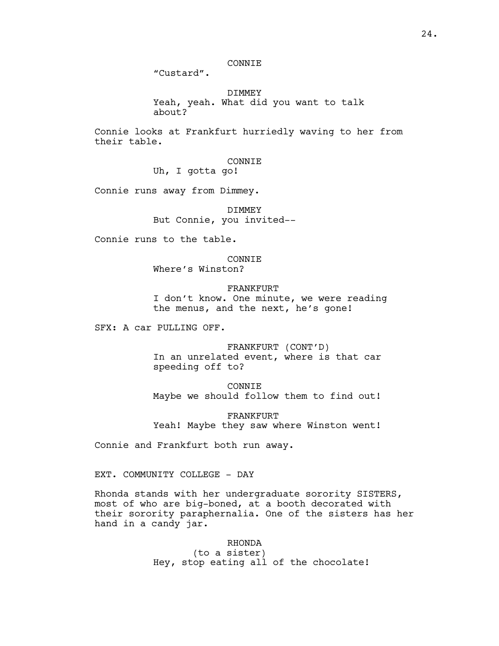# CONNIE

"Custard".

DIMMEY Yeah, yeah. What did you want to talk about?

Connie looks at Frankfurt hurriedly waving to her from their table.

> CONNIE Uh, I gotta go!

Connie runs away from Dimmey.

DIMMEY But Connie, you invited--

Connie runs to the table.

**CONNIE** 

Where's Winston?

FRANKFURT I don't know. One minute, we were reading the menus, and the next, he's gone!

SFX: A car PULLING OFF.

FRANKFURT (CONT'D) In an unrelated event, where is that car speeding off to?

CONNIE Maybe we should follow them to find out!

FRANKFURT Yeah! Maybe they saw where Winston went!

Connie and Frankfurt both run away.

EXT. COMMUNITY COLLEGE - DAY

Rhonda stands with her undergraduate sorority SISTERS, most of who are big-boned, at a booth decorated with their sorority paraphernalia. One of the sisters has her hand in a candy jar.

> RHONDA (to a sister) Hey, stop eating all of the chocolate!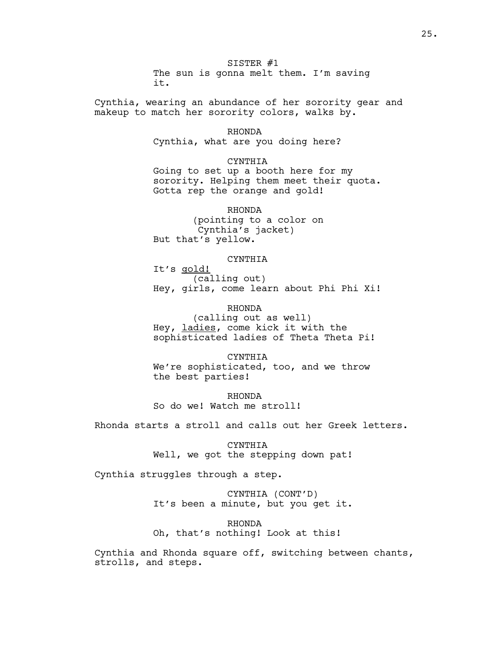SISTER #1 The sun is gonna melt them. I'm saving it.

Cynthia, wearing an abundance of her sorority gear and makeup to match her sorority colors, walks by.

#### RHONDA

Cynthia, what are you doing here?

### CYNTHIA

Going to set up a booth here for my sorority. Helping them meet their quota. Gotta rep the orange and gold!

RHONDA (pointing to a color on Cynthia's jacket) But that's yellow.

#### CYNTHIA

It's gold! (calling out) Hey, girls, come learn about Phi Phi Xi!

RHONDA

(calling out as well) Hey, ladies, come kick it with the sophisticated ladies of Theta Theta Pi!

CYNTHIA We're sophisticated, too, and we throw the best parties!

RHONDA So do we! Watch me stroll!

Rhonda starts a stroll and calls out her Greek letters.

CYNTHIA Well, we got the stepping down pat!

Cynthia struggles through a step.

CYNTHIA (CONT'D) It's been a minute, but you get it.

RHONDA Oh, that's nothing! Look at this!

Cynthia and Rhonda square off, switching between chants, strolls, and steps.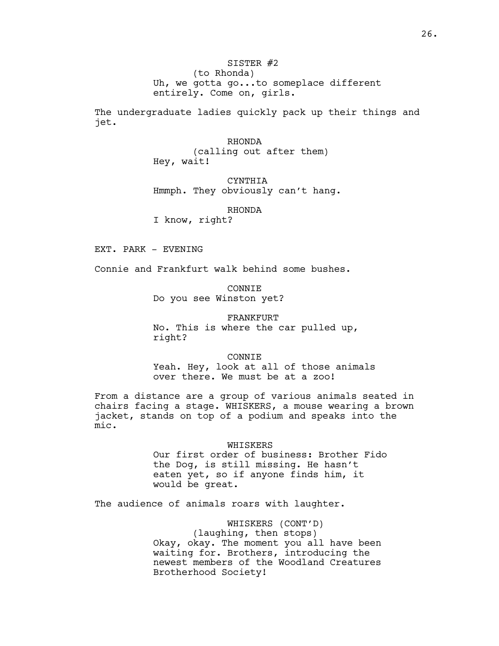# SISTER #2 (to Rhonda)

Uh, we gotta go...to someplace different entirely. Come on, girls.

The undergraduate ladies quickly pack up their things and jet.

### RHONDA

(calling out after them) Hey, wait!

CYNTHIA Hmmph. They obviously can't hang.

# RHONDA

I know, right?

EXT. PARK - EVENING

Connie and Frankfurt walk behind some bushes.

CONNIE Do you see Winston yet?

FRANKFURT No. This is where the car pulled up, right?

CONNIE Yeah. Hey, look at all of those animals over there. We must be at a zoo!

From a distance are a group of various animals seated in chairs facing a stage. WHISKERS, a mouse wearing a brown jacket, stands on top of a podium and speaks into the mic.

### WHISKERS

Our first order of business: Brother Fido the Dog, is still missing. He hasn't eaten yet, so if anyone finds him, it would be great.

The audience of animals roars with laughter.

WHISKERS (CONT'D) (laughing, then stops) Okay, okay. The moment you all have been waiting for. Brothers, introducing the newest members of the Woodland Creatures Brotherhood Society!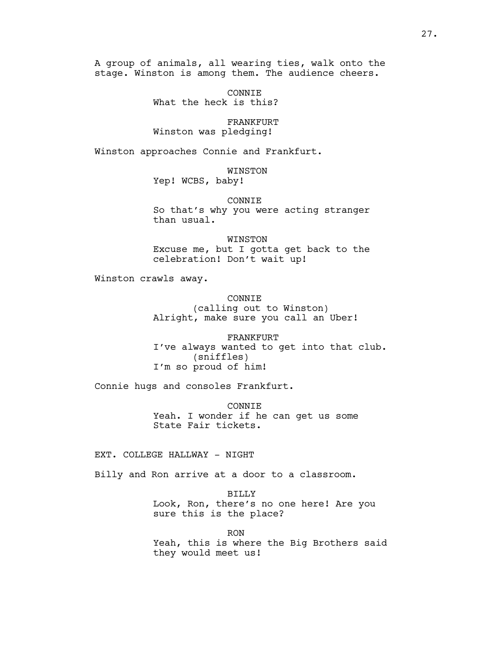A group of animals, all wearing ties, walk onto the stage. Winston is among them. The audience cheers.

> CONNIE What the heck is this?

> FRANKFURT Winston was pledging!

Winston approaches Connie and Frankfurt.

WINSTON

Yep! WCBS, baby!

CONNIE

So that's why you were acting stranger than usual.

WINSTON Excuse me, but I gotta get back to the celebration! Don't wait up!

Winston crawls away.

**CONNIE** (calling out to Winston)

Alright, make sure you call an Uber!

FRANKFURT I've always wanted to get into that club. (sniffles) I'm so proud of him!

Connie hugs and consoles Frankfurt.

CONNIE Yeah. I wonder if he can get us some State Fair tickets.

EXT. COLLEGE HALLWAY - NIGHT

Billy and Ron arrive at a door to a classroom.

BILLY Look, Ron, there's no one here! Are you sure this is the place?

RON Yeah, this is where the Big Brothers said they would meet us!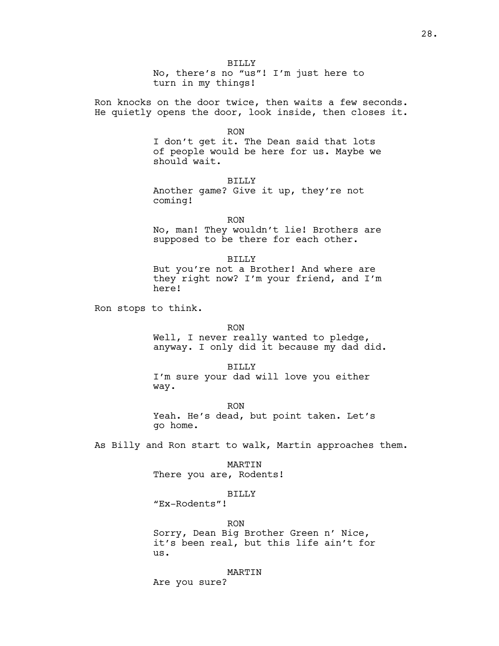BILLY No, there's no "us"! I'm just here to turn in my things!

Ron knocks on the door twice, then waits a few seconds. He quietly opens the door, look inside, then closes it.

RON

I don't get it. The Dean said that lots of people would be here for us. Maybe we should wait.

BILLY Another game? Give it up, they're not coming!

RON No, man! They wouldn't lie! Brothers are supposed to be there for each other.

BILLY But you're not a Brother! And where are they right now? I'm your friend, and I'm here!

Ron stops to think.

RON

Well, I never really wanted to pledge, anyway. I only did it because my dad did.

BILLY I'm sure your dad will love you either way.

RON Yeah. He's dead, but point taken. Let's go home.

As Billy and Ron start to walk, Martin approaches them.

MARTIN There you are, Rodents!

BILLY

"Ex-Rodents"!

RON

Sorry, Dean Big Brother Green n' Nice, it's been real, but this life ain't for us.

MARTIN

Are you sure?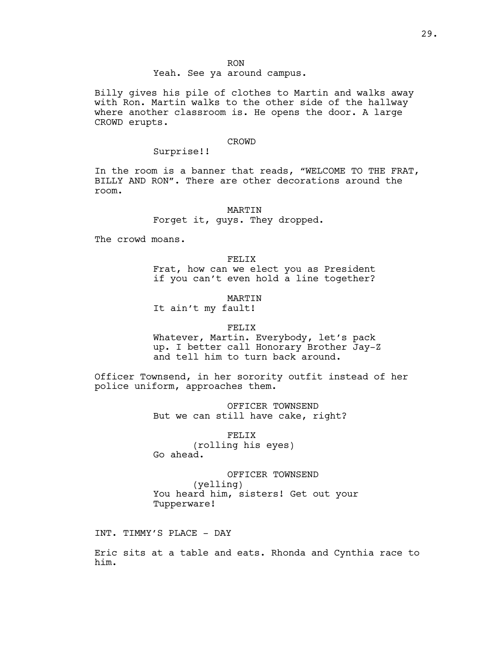RON

# Yeah. See ya around campus.

Billy gives his pile of clothes to Martin and walks away with Ron. Martin walks to the other side of the hallway where another classroom is. He opens the door. A large CROWD erupts.

#### CROWD

# Surprise!!

In the room is a banner that reads, "WELCOME TO THE FRAT, BILLY AND RON". There are other decorations around the room.

> MARTIN Forget it, guys. They dropped.

The crowd moans.

FELIX Frat, how can we elect you as President if you can't even hold a line together?

MARTIN It ain't my fault!

# FELIX

Whatever, Martin. Everybody, let's pack up. I better call Honorary Brother Jay-Z and tell him to turn back around.

Officer Townsend, in her sorority outfit instead of her police uniform, approaches them.

> OFFICER TOWNSEND But we can still have cake, right?

> > FELIX

(rolling his eyes) Go ahead.

OFFICER TOWNSEND (yelling) You heard him, sisters! Get out your Tupperware!

INT. TIMMY'S PLACE - DAY

Eric sits at a table and eats. Rhonda and Cynthia race to him.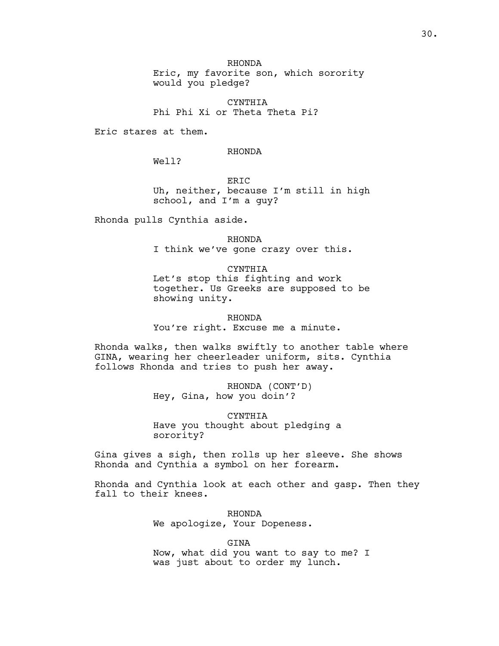RHONDA Eric, my favorite son, which sorority would you pledge?

CYNTHIA Phi Phi Xi or Theta Theta Pi?

Eric stares at them.

# RHONDA

Well?

ERIC Uh, neither, because I'm still in high school, and I'm a guy?

Rhonda pulls Cynthia aside.

RHONDA I think we've gone crazy over this.

CYNTHIA Let's stop this fighting and work together. Us Greeks are supposed to be showing unity.

RHONDA You're right. Excuse me a minute.

Rhonda walks, then walks swiftly to another table where GINA, wearing her cheerleader uniform, sits. Cynthia follows Rhonda and tries to push her away.

> RHONDA (CONT'D) Hey, Gina, how you doin'?

CYNTHIA Have you thought about pledging a sorority?

Gina gives a sigh, then rolls up her sleeve. She shows Rhonda and Cynthia a symbol on her forearm.

Rhonda and Cynthia look at each other and gasp. Then they fall to their knees.

> RHONDA We apologize, Your Dopeness.

GINA Now, what did you want to say to me? I was just about to order my lunch.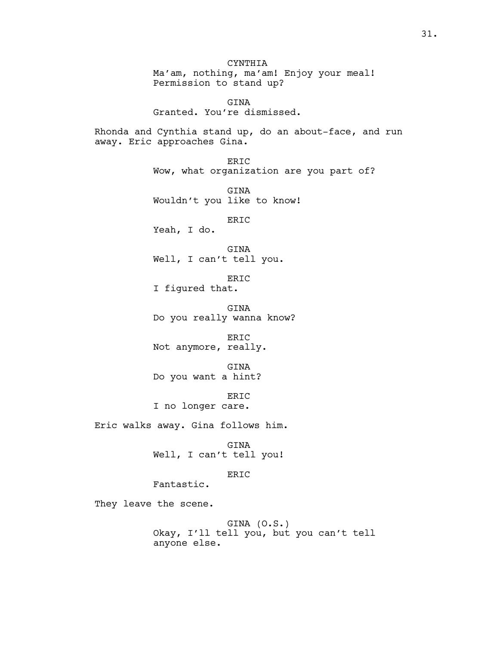**CYNTHIA** Ma'am, nothing, ma'am! Enjoy your meal! Permission to stand up?

GINA Granted. You're dismissed.

Rhonda and Cynthia stand up, do an about-face, and run away. Eric approaches Gina.

> ERIC Wow, what organization are you part of?

GINA Wouldn't you like to know!

ERIC

Yeah, I do.

GINA Well, I can't tell you.

ERIC I figured that.

GINA Do you really wanna know?

ERIC Not anymore, really.

GINA Do you want a hint?

ERIC I no longer care.

Eric walks away. Gina follows him.

GINA Well, I can't tell you!

# ERIC

Fantastic.

They leave the scene.

GINA (O.S.) Okay, I'll tell you, but you can't tell anyone else.